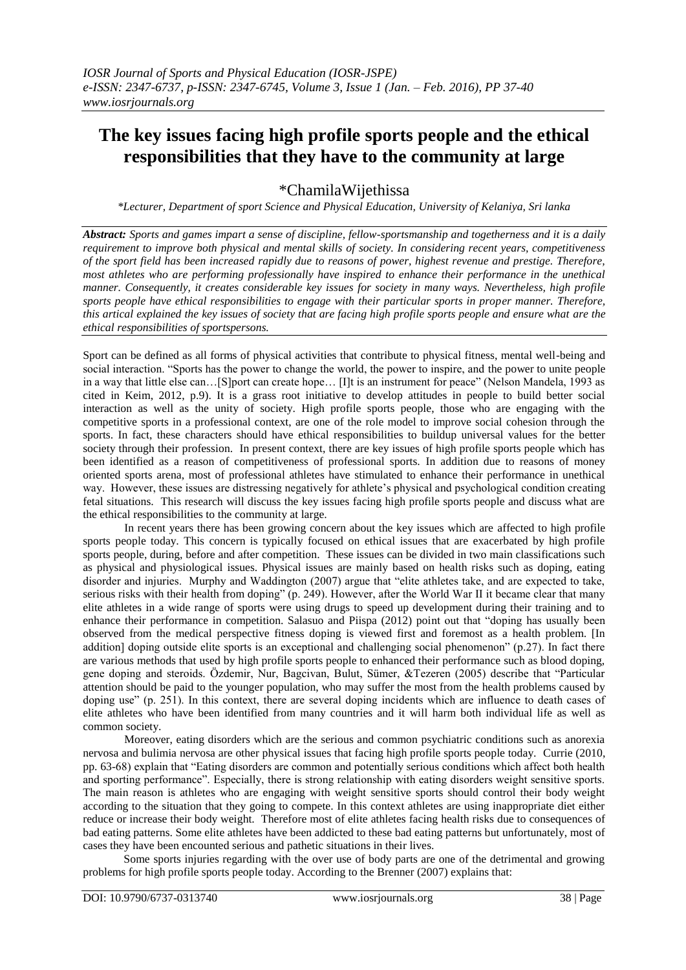## **The key issues facing high profile sports people and the ethical responsibilities that they have to the community at large**

\*ChamilaWijethissa

*\*Lecturer, Department of sport Science and Physical Education, University of Kelaniya, Sri lanka*

*Abstract: Sports and games impart a sense of discipline, fellow-sportsmanship and togetherness and it is a daily requirement to improve both physical and mental skills of society. In considering recent years, competitiveness of the sport field has been increased rapidly due to reasons of power, highest revenue and prestige. Therefore, most athletes who are performing professionally have inspired to enhance their performance in the unethical manner. Consequently, it creates considerable key issues for society in many ways. Nevertheless, high profile sports people have ethical responsibilities to engage with their particular sports in proper manner. Therefore, this artical explained the key issues of society that are facing high profile sports people and ensure what are the ethical responsibilities of sportspersons.*

Sport can be defined as all forms of physical activities that contribute to physical fitness, mental well-being and social interaction. "Sports has the power to change the world, the power to inspire, and the power to unite people in a way that little else can…[S]port can create hope… [I]t is an instrument for peace" (Nelson Mandela, 1993 as cited in Keim, 2012, p.9). It is a grass root initiative to develop attitudes in people to build better social interaction as well as the unity of society. High profile sports people, those who are engaging with the competitive sports in a professional context, are one of the role model to improve social cohesion through the sports. In fact, these characters should have ethical responsibilities to buildup universal values for the better society through their profession. In present context, there are key issues of high profile sports people which has been identified as a reason of competitiveness of professional sports. In addition due to reasons of money oriented sports arena, most of professional athletes have stimulated to enhance their performance in unethical way. However, these issues are distressing negatively for athlete's physical and psychological condition creating fetal situations. This research will discuss the key issues facing high profile sports people and discuss what are the ethical responsibilities to the community at large.

In recent years there has been growing concern about the key issues which are affected to high profile sports people today. This concern is typically focused on ethical issues that are exacerbated by high profile sports people, during, before and after competition. These issues can be divided in two main classifications such as physical and physiological issues. Physical issues are mainly based on health risks such as doping, eating disorder and injuries. Murphy and Waddington (2007) argue that "elite athletes take, and are expected to take, serious risks with their health from doping" (p. 249). However, after the World War II it became clear that many elite athletes in a wide range of sports were using drugs to speed up development during their training and to enhance their performance in competition. Salasuo and Piispa (2012) point out that "doping has usually been observed from the medical perspective fitness doping is viewed first and foremost as a health problem. [In addition] doping outside elite sports is an exceptional and challenging social phenomenon" (p.27). In fact there are various methods that used by high profile sports people to enhanced their performance such as blood doping, gene doping and steroids. Özdemir, Nur, Bagcivan, Bulut, Sümer, &Tezeren (2005) describe that "Particular attention should be paid to the younger population, who may suffer the most from the health problems caused by doping use" (p. 251). In this context, there are several doping incidents which are influence to death cases of elite athletes who have been identified from many countries and it will harm both individual life as well as common society.

Moreover, eating disorders which are the serious and common psychiatric conditions such as anorexia nervosa and bulimia nervosa are other physical issues that facing high profile sports people today. Currie (2010, pp. 63-68) explain that "Eating disorders are common and potentially serious conditions which affect both health and sporting performance". Especially, there is strong relationship with eating disorders weight sensitive sports. The main reason is athletes who are engaging with weight sensitive sports should control their body weight according to the situation that they going to compete. In this context athletes are using inappropriate diet either reduce or increase their body weight. Therefore most of elite athletes facing health risks due to consequences of bad eating patterns. Some elite athletes have been addicted to these bad eating patterns but unfortunately, most of cases they have been encounted serious and pathetic situations in their lives.

Some sports injuries regarding with the over use of body parts are one of the detrimental and growing problems for high profile sports people today. According to the Brenner (2007) explains that: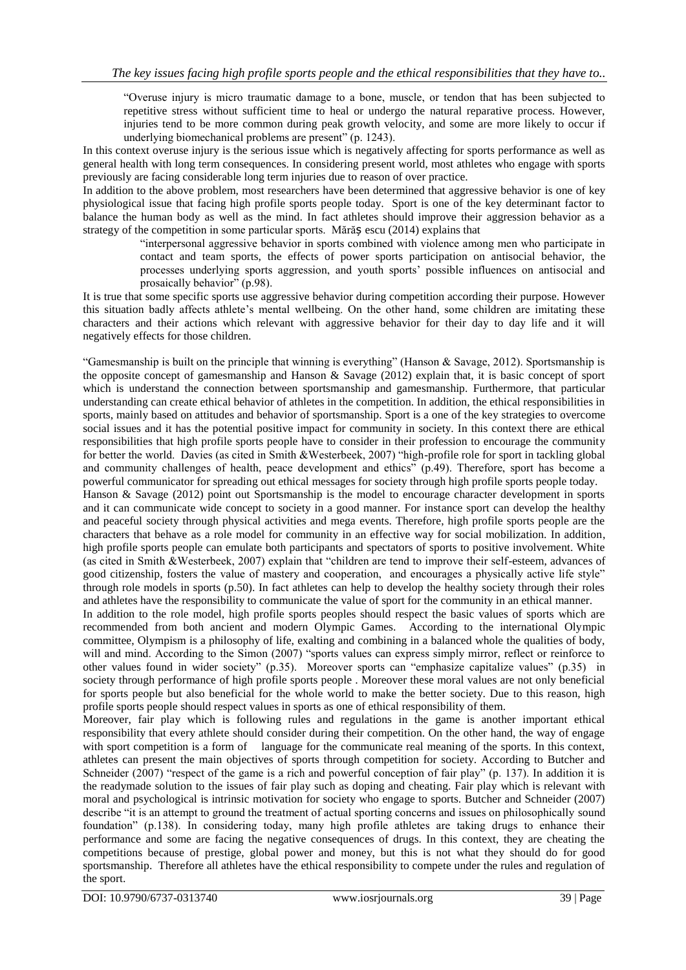"Overuse injury is micro traumatic damage to a bone, muscle, or tendon that has been subjected to repetitive stress without sufficient time to heal or undergo the natural reparative process. However, injuries tend to be more common during peak growth velocity, and some are more likely to occur if underlying biomechanical problems are present" (p. 1243).

In this context overuse injury is the serious issue which is negatively affecting for sports performance as well as general health with long term consequences. In considering present world, most athletes who engage with sports previously are facing considerable long term injuries due to reason of over practice.

In addition to the above problem, most researchers have been determined that aggressive behavior is one of key physiological issue that facing high profile sports people today. Sport is one of the key determinant factor to balance the human body as well as the mind. In fact athletes should improve their aggression behavior as a strategy of the competition in some particular sports. Mărăș escu (2014) explains that

"interpersonal aggressive behavior in sports combined with violence among men who participate in contact and team sports, the effects of power sports participation on antisocial behavior, the processes underlying sports aggression, and youth sports' possible influences on antisocial and prosaically behavior" (p.98).

It is true that some specific sports use aggressive behavior during competition according their purpose. However this situation badly affects athlete's mental wellbeing. On the other hand, some children are imitating these characters and their actions which relevant with aggressive behavior for their day to day life and it will negatively effects for those children.

"Gamesmanship is built on the principle that winning is everything" (Hanson & Savage, 2012). Sportsmanship is the opposite concept of gamesmanship and Hanson & Savage (2012) explain that, it is basic concept of sport which is understand the connection between sportsmanship and gamesmanship. Furthermore, that particular understanding can create ethical behavior of athletes in the competition. In addition, the ethical responsibilities in sports, mainly based on attitudes and behavior of sportsmanship. Sport is a one of the key strategies to overcome social issues and it has the potential positive impact for community in society. In this context there are ethical responsibilities that high profile sports people have to consider in their profession to encourage the community for better the world. Davies (as cited in Smith &Westerbeek, 2007) "high-profile role for sport in tackling global and community challenges of health, peace development and ethics" (p.49). Therefore, sport has become a powerful communicator for spreading out ethical messages for society through high profile sports people today. Hanson & Savage (2012) point out Sportsmanship is the model to encourage character development in sports and it can communicate wide concept to society in a good manner. For instance sport can develop the healthy and peaceful society through physical activities and mega events. Therefore, high profile sports people are the characters that behave as a role model for community in an effective way for social mobilization. In addition, high profile sports people can emulate both participants and spectators of sports to positive involvement. White (as cited in Smith &Westerbeek, 2007) explain that "children are tend to improve their self-esteem, advances of good citizenship, fosters the value of mastery and cooperation, and encourages a physically active life style" through role models in sports (p.50). In fact athletes can help to develop the healthy society through their roles and athletes have the responsibility to communicate the value of sport for the community in an ethical manner.

In addition to the role model, high profile sports peoples should respect the basic values of sports which are recommended from both ancient and modern Olympic Games. According to the international Olympic committee, Olympism is a philosophy of life, exalting and combining in a balanced whole the qualities of body, will and mind. According to the Simon (2007) "sports values can express simply mirror, reflect or reinforce to other values found in wider society" (p.35). Moreover sports can "emphasize capitalize values" (p.35) in society through performance of high profile sports people . Moreover these moral values are not only beneficial for sports people but also beneficial for the whole world to make the better society. Due to this reason, high profile sports people should respect values in sports as one of ethical responsibility of them.

Moreover, fair play which is following rules and regulations in the game is another important ethical responsibility that every athlete should consider during their competition. On the other hand, the way of engage with sport competition is a form of language for the communicate real meaning of the sports. In this context, athletes can present the main objectives of sports through competition for society. According to Butcher and Schneider (2007) "respect of the game is a rich and powerful conception of fair play" (p. 137). In addition it is the readymade solution to the issues of fair play such as doping and cheating. Fair play which is relevant with moral and psychological is intrinsic motivation for society who engage to sports. Butcher and Schneider (2007) describe "it is an attempt to ground the treatment of actual sporting concerns and issues on philosophically sound foundation" (p.138). In considering today, many high profile athletes are taking drugs to enhance their performance and some are facing the negative consequences of drugs. In this context, they are cheating the competitions because of prestige, global power and money, but this is not what they should do for good sportsmanship. Therefore all athletes have the ethical responsibility to compete under the rules and regulation of the sport.